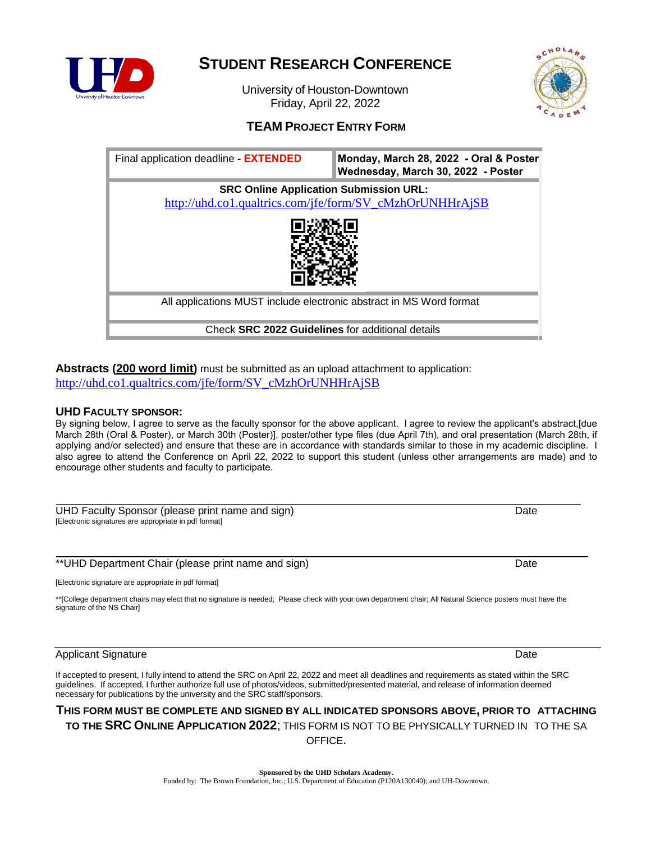

## **STUDENT RESEARCH CONFERENCE**

University of Houston-Downtown Friday, April 22, 2022



## **TEAM PROJECT ENTRY FORM**

| Final application deadline - <b>EXTENDED</b>                                                              | Monday, March 28, 2022 - Oral & Poster<br>Wednesday, March 30, 2022 - Poster |
|-----------------------------------------------------------------------------------------------------------|------------------------------------------------------------------------------|
| <b>SRC Online Application Submission URL:</b><br>http://uhd.co1.qualtrics.com/jfe/form/SV_cMzhOrUNHHrAjSB |                                                                              |
|                                                                                                           |                                                                              |
| All applications MUST include electronic abstract in MS Word format                                       |                                                                              |
| Check SRC 2022 Guidelines for additional details                                                          |                                                                              |

**Abstracts (200 word limit)** must be submitted as an upload attachment to application: [http://uhd.co1.qualtrics.com/jfe/form/SV\\_cMzhOrUNHHrAjSB](http://uhd.co1.qualtrics.com/jfe/form/SV_cMzhOrUNHHrAjSB)

### **UHD FACULTY SPONSOR:**

By signing below, I agree to serve as the faculty sponsor for the above applicant. I agree to review the applicant's abstract,[due March 28th (Oral & Poster), or March 30th (Poster)], poster/other type files (due April 7th), and oral presentation (March 28th, if applying and/or selected) and ensure that these are in accordance with standards similar to those in my academic discipline. I also agree to attend the Conference on April 22, 2022 to support this student (unless other arrangements are made) and to encourage other students and faculty to participate.

UHD Faculty Sponsor (please print name and sign) Date by a state of the control of the Date [Electronic signatures are appropriate in pdf format]

\*\*UHD Department Chair (please print name and sign) Date

[Electronic signature are appropriate in pdf format]

\*\*[College department chairs may elect that no signature is needed; Please check with your own department chair; All Natural Science posters must have the signature of the NS Chair]

## Applicant Signature Date

If accepted to present, I fully intend to attend the SRC on April 22, 2022 and meet all deadlines and requirements as stated within the SRC guidelines. If accepted, I further authorize full use of photos/videos, submitted/presented material, and release of information deemed necessary for publications by the university and the SRC staff/sponsors.

## **THIS FORM MUST BE COMPLETE AND SIGNED BY ALL INDICATED SPONSORS ABOVE, PRIOR TO ATTACHING TO THE SRC ONLINE APPLICATION 2022**; THIS FORM IS NOT TO BE PHYSICALLY TURNED IN TO THE SA OFFICE.

**Sponsored by the UHD Scholars Academy.** Funded by: The Brown Foundation, Inc.; U.S. Department of Education (P120A130040); and UH-Downtown.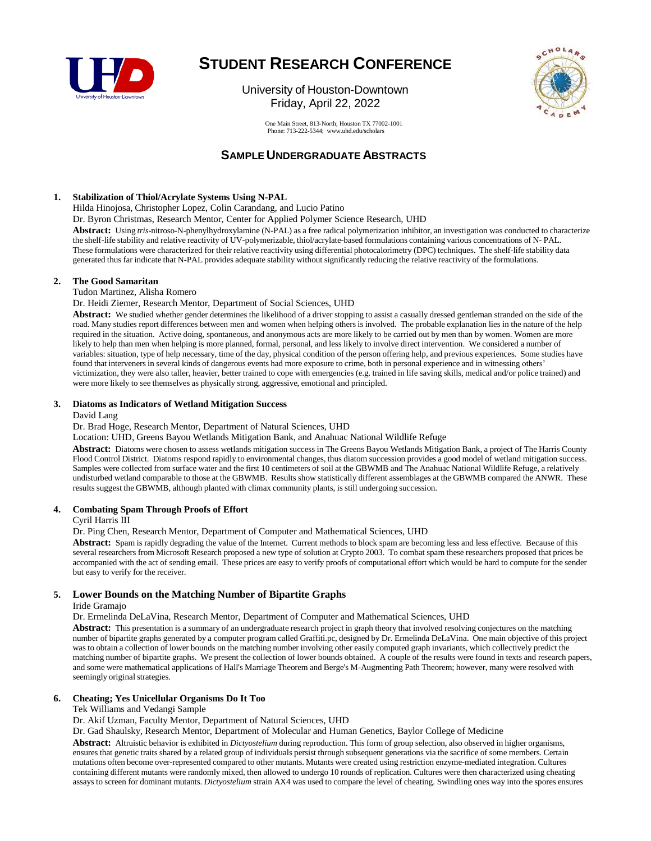

# **STUDENT RESEARCH CONFERENCE**

University of Houston-Downtown Friday, April 22, 2022



One Main Street, 813-North; Houston TX 77002-1001 Phone: 713-22[2-5344; www.uhd.edu/scholars](mailto:scholars@uhd.edu)

## **SAMPLE UNDERGRADUATE ABSTRACTS**

#### **1. Stabilization of Thiol/Acrylate Systems Using N-PAL**

Hilda Hinojosa, Christopher Lopez, Colin Carandang, and Lucio Patino

Dr. Byron Christmas, Research Mentor, Center for Applied Polymer Science Research, UHD

**Abstract:** Using *tris*-nitroso-N-phenylhydroxylamine (N-PAL) as a free radical polymerization inhibitor, an investigation was conducted to characterize the shelf-life stability and relative reactivity of UV-polymerizable, thiol/acrylate-based formulations containing various concentrations of N- PAL. These formulations were characterized for their relative reactivity using differential photocalorimetry (DPC) techniques. The shelf-life stability data generated thus far indicate that N-PAL provides adequate stability without significantly reducing the relative reactivity of the formulations.

#### **2. The Good Samaritan**

Tudon Martinez, Alisha Romero

Dr. Heidi Ziemer, Research Mentor, Department of Social Sciences, UHD

Abstract: We studied whether gender determines the likelihood of a driver stopping to assist a casually dressed gentleman stranded on the side of the road. Many studies report differences between men and women when helping others is involved. The probable explanation lies in the nature of the help required in the situation. Active doing, spontaneous, and anonymous acts are more likely to be carried out by men than by women. Women are more likely to help than men when helping is more planned, formal, personal, and less likely to involve direct intervention. We considered a number of variables: situation, type of help necessary, time of the day, physical condition of the person offering help, and previous experiences. Some studies have found that interveners in several kinds of dangerous events had more exposure to crime, both in personal experience and in witnessing others' victimization, they were also taller, heavier, better trained to cope with emergencies (e.g. trained in life saving skills, medical and/or police trained) and were more likely to see themselves as physically strong, aggressive, emotional and principled.

#### **3. Diatoms as Indicators of Wetland Mitigation Success**

#### David Lang

Dr. Brad Hoge, Research Mentor, Department of Natural Sciences, UHD

Location: UHD, Greens Bayou Wetlands Mitigation Bank, and Anahuac National Wildlife Refuge

**Abstract:** Diatoms were chosen to assess wetlands mitigation success in The Greens Bayou Wetlands Mitigation Bank, a project of The Harris County Flood Control District. Diatoms respond rapidly to environmental changes, thus diatom succession provides a good model of wetland mitigation success. Samples were collected from surface water and the first 10 centimeters of soil at the GBWMB and The Anahuac National Wildlife Refuge, a relatively undisturbed wetland comparable to those at the GBWMB. Results show statistically different assemblages at the GBWMB compared the ANWR. These results suggest the GBWMB, although planted with climax community plants, is still undergoing succession.

#### **4. Combating Spam Through Proofs of Effort**

Cyril Harris III

Dr. Ping Chen, Research Mentor, Department of Computer and Mathematical Sciences, UHD

**Abstract:** Spam is rapidly degrading the value of the Internet. Current methods to block spam are becoming less and less effective. Because of this several researchers from Microsoft Research proposed a new type of solution at Crypto 2003. To combat spam these researchers proposed that prices be accompanied with the act of sending email. These prices are easy to verify proofs of computational effort which would be hard to compute for the sender but easy to verify for the receiver.

#### **5. Lower Bounds on the Matching Number of Bipartite Graphs**

Iride Gramajo

Dr. Ermelinda DeLaVina, Research Mentor, Department of Computer and Mathematical Sciences, UHD

**Abstract:** This presentation is a summary of an undergraduate research project in graph theory that involved resolving conjectures on the matching number of bipartite graphs generated by a computer program called Graffiti.pc, designed by Dr. Ermelinda DeLaVina. One main objective of this project was to obtain a collection of lower bounds on the matching number involving other easily computed graph invariants, which collectively predict the matching number of bipartite graphs. We present the collection of lower bounds obtained. A couple of the results were found in texts and research papers, and some were mathematical applications of Hall's Marriage Theorem and Berge's M-Augmenting Path Theorem; however, many were resolved with seemingly original strategies.

#### **6. Cheating; Yes Unicellular Organisms Do It Too**

Tek Williams and Vedangi Sample

Dr. Akif Uzman, Faculty Mentor, Department of Natural Sciences, UHD

Dr. Gad Shaulsky, Research Mentor, Department of Molecular and Human Genetics, Baylor College of Medicine

**Abstract:** Altruistic behavior is exhibited in *Dictyostelium* during reproduction. This form of group selection, also observed in higher organisms, ensures that genetic traits shared by a related group of individuals persist through subsequent generations via the sacrifice of some members. Certain mutations often become over-represented compared to other mutants. Mutants were created using restriction enzyme-mediated integration. Cultures containing different mutants were randomly mixed, then allowed to undergo 10 rounds of replication. Cultures were then characterized using cheating assays to screen for dominant mutants. *Dictyostelium* strain AX4 was used to compare the level of cheating. Swindling ones way into the spores ensures